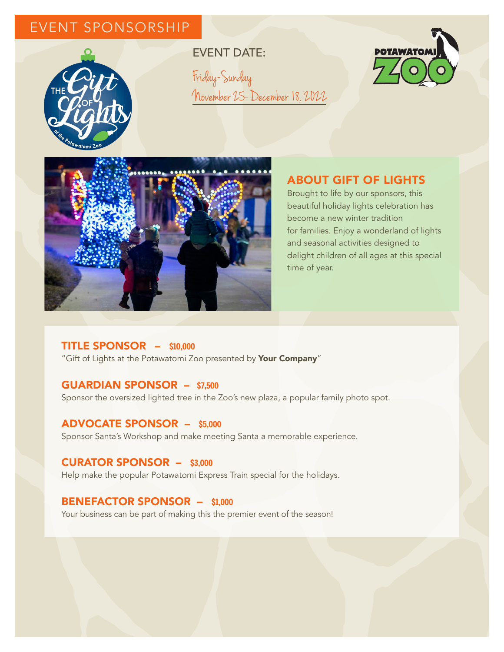# EVENT SPONSORSHIP



EVENT DATE: Friday-Sunday November 25-December 18, 2022





## ABOUT GIFT OF LIGHTS

Brought to life by our sponsors, this beautiful holiday lights celebration has become a new winter tradition for families. Enjoy a wonderland of lights and seasonal activities designed to delight children of all ages at this special time of year.

## TITLE SPONSOR – **\$10,000**

"Gift of Lights at the Potawatomi Zoo presented by Your Company"

## GUARDIAN SPONSOR – **\$7,500**

Sponsor the oversized lighted tree in the Zoo's new plaza, a popular family photo spot.

#### ADVOCATE SPONSOR – **\$5,000**

Sponsor Santa's Workshop and make meeting Santa a memorable experience.

### CURATOR SPONSOR – **\$3,000**

Help make the popular Potawatomi Express Train special for the holidays.

## BENEFACTOR SPONSOR – **\$1,000**

Your business can be part of making this the premier event of the season!